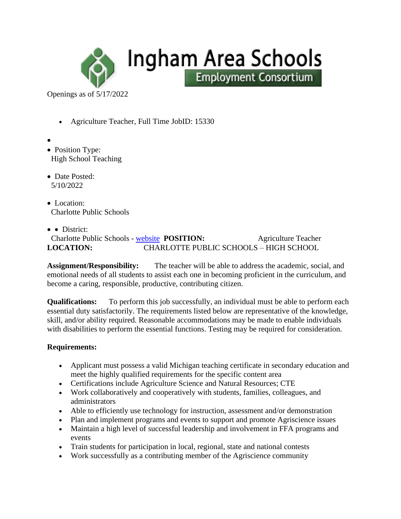

Openings as of 5/17/2022

- Agriculture Teacher, Full Time JobID: 15330
- •
- Position Type: High School Teaching
- Date Posted: 5/10/2022
- Location: Charlotte Public Schools
- • District: Charlotte Public Schools - [website](http://www.charlottenet.org/) **POSITION:** Agriculture Teacher **LOCATION:** CHARLOTTE PUBLIC SCHOOLS – HIGH SCHOOL

**Assignment/Responsibility:** The teacher will be able to address the academic, social, and emotional needs of all students to assist each one in becoming proficient in the curriculum, and become a caring, responsible, productive, contributing citizen.

Ingham Area Schools

**Employment Consortium** 

**Qualifications:** To perform this job successfully, an individual must be able to perform each essential duty satisfactorily. The requirements listed below are representative of the knowledge, skill, and/or ability required. Reasonable accommodations may be made to enable individuals with disabilities to perform the essential functions. Testing may be required for consideration.

### **Requirements:**

- Applicant must possess a valid Michigan teaching certificate in secondary education and meet the highly qualified requirements for the specific content area
- Certifications include Agriculture Science and Natural Resources; CTE
- Work collaboratively and cooperatively with students, families, colleagues, and administrators
- Able to efficiently use technology for instruction, assessment and/or demonstration
- Plan and implement programs and events to support and promote Agriscience issues
- Maintain a high level of successful leadership and involvement in FFA programs and events
- Train students for participation in local, regional, state and national contests
- Work successfully as a contributing member of the Agriscience community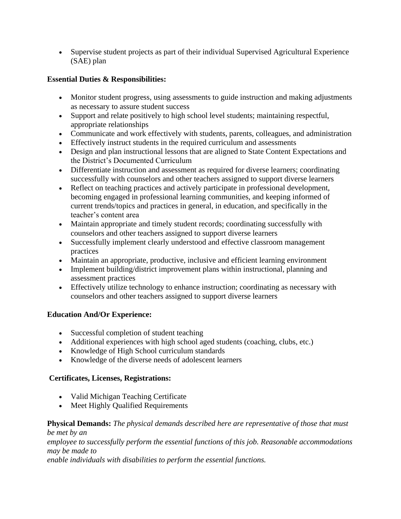• Supervise student projects as part of their individual Supervised Agricultural Experience (SAE) plan

## **Essential Duties & Responsibilities:**

- Monitor student progress, using assessments to guide instruction and making adjustments as necessary to assure student success
- Support and relate positively to high school level students; maintaining respectful, appropriate relationships
- Communicate and work effectively with students, parents, colleagues, and administration
- Effectively instruct students in the required curriculum and assessments
- Design and plan instructional lessons that are aligned to State Content Expectations and the District's Documented Curriculum
- Differentiate instruction and assessment as required for diverse learners; coordinating successfully with counselors and other teachers assigned to support diverse learners
- Reflect on teaching practices and actively participate in professional development, becoming engaged in professional learning communities, and keeping informed of current trends/topics and practices in general, in education, and specifically in the teacher's content area
- Maintain appropriate and timely student records; coordinating successfully with counselors and other teachers assigned to support diverse learners
- Successfully implement clearly understood and effective classroom management practices
- Maintain an appropriate, productive, inclusive and efficient learning environment
- Implement building/district improvement plans within instructional, planning and assessment practices
- Effectively utilize technology to enhance instruction; coordinating as necessary with counselors and other teachers assigned to support diverse learners

### **Education And/Or Experience:**

- Successful completion of student teaching
- Additional experiences with high school aged students (coaching, clubs, etc.)
- Knowledge of High School curriculum standards
- Knowledge of the diverse needs of adolescent learners

# **Certificates, Licenses, Registrations:**

- Valid Michigan Teaching Certificate
- Meet Highly Qualified Requirements

#### **Physical Demands:** *The physical demands described here are representative of those that must be met by an*

*employee to successfully perform the essential functions of this job. Reasonable accommodations may be made to*

*enable individuals with disabilities to perform the essential functions.*